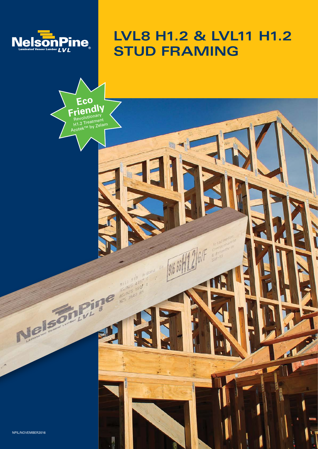

Eco Friendly

Azotek

Revolutionary<br>H1.2 Treatment<br>Nzotek™ by Zelam

Band

MILL 919 A-B

 $\tilde{g}$ 

 $\frac{1}{2}$ 

WI  $\mathcal{L}$ 

# LVL8 H1.2 & LVL11 H1.2 **STUD FRAMING**

NPIL/NOVEMBER2016

Ve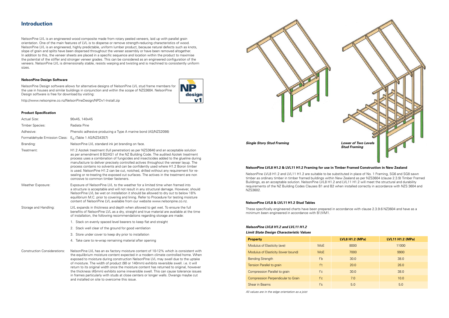NelsonPine LVL is an engineered wood composite made from rotary peeled veneers, laid up with parallel grain orientation. One of the main features of LVL is to disperse or remove strength-reducing characteristics of wood. NelsonPine LVL is an engineered, highly predictable, uniform lumber product, because natural defects such as knots, slope of grain and splits have been dispersed throughout the veneer assembly or have been removed altogether. In addition to this, the veneer sheets are placed in a specific sequence and location within the product to maximise the potential of the stiffer and stronger veneer grades. This can be considered as an engineered configuration of the veneers. NelsonPine LVL is dimensionally stable, resists warping and twisting and is machined to consistently uniform sizes.

VP

design  $V<sub>1</sub>$ 

#### **NelsonPine Design Software**

NelsonPine Design software allows for alternative designs of NelsonPine LVL stud frame members for the use in houses and similar buildings in conjunction and within the scope of NZS3604. NelsonPine Design software is free for download by visiting:

http://www.nelsonpine.co.nz/NelsonPineDesign/NPDv1-Install.zip

#### **Product Specification**

NelsonPine LVL8 H1.2 and LVL11 H1.2 are suitable to be substituted in place of No. 1 Framing, SG6 and SG8 sawn timber as ordinary timber in timber framed buildings within New Zealand as per NZS3604 (clause 2.3.9) Timber Framed Buildings, as an acceptable solution. NelsonPine LVL8 H1.2 and LVL11 H1.2 will meet the structural and durability requirements of the NZ Building Codes Clauses B1 and B2 when installed correctly in accordance with NZS 3604 and NZS3602.

| Actual Size:                        | 90x45, 140x45                                                                                                                                                                                                                                                                                                                                                                                                                                                                                                                                                                                                                                                          |
|-------------------------------------|------------------------------------------------------------------------------------------------------------------------------------------------------------------------------------------------------------------------------------------------------------------------------------------------------------------------------------------------------------------------------------------------------------------------------------------------------------------------------------------------------------------------------------------------------------------------------------------------------------------------------------------------------------------------|
| Timber Species:                     | Radiata Pine                                                                                                                                                                                                                                                                                                                                                                                                                                                                                                                                                                                                                                                           |
| Adhesive:                           | Phenolic adhesive producing a Type A marine bond (AS/NZS2098)                                                                                                                                                                                                                                                                                                                                                                                                                                                                                                                                                                                                          |
| Formaldehyde Emission Class:        | $E_0$ (Table 1 AS/NZS4357)                                                                                                                                                                                                                                                                                                                                                                                                                                                                                                                                                                                                                                             |
| Branding:                           | NelsonPine LVL standard ink jet branding on face.                                                                                                                                                                                                                                                                                                                                                                                                                                                                                                                                                                                                                      |
| Treatment:                          | H1.2 Azotek treatment (full penetration) as per NZS3640 and an acceptable solution<br>as per amendment 8 B2/AS1 of the NZ Building Code. The audited Azotek treatment<br>process uses a combination of fungicides and insecticides added to the glueline during<br>manufacture to deliver precisely controlled actives throughout the veneer layup. The<br>process contains no solvents and can be confidently used where H1.2 Boron timber<br>is used. NelsonPine H1.2 can be cut, notched, drilled without any requirement for re-<br>sealing or re-treating the exposed cut surfaces. The actives in the treatment are non<br>corrosive to common timber fasteners. |
| Weather Exposure:                   | Exposure of NelsonPine LVL to the weather for a limited time when framed into<br>a structure is acceptable and will not result in any structural damage. However, should<br>NelsonPine LVL be wet on installation it should be allowed to dry out to below 18%<br>equilibrium M.C. prior to covering and lining. Refer to Procedure for testing moisture<br>content of NelsonPine LVL available from our website www.nelsonpine.co.nz.                                                                                                                                                                                                                                 |
| Storage and Handling:               | LVL expands in thickness and depth when allowed to get wet. To ensure the full<br>benefits of NelsonPine LVL as a dry, straight and true material are available at the time<br>of installation, the following recommendations regarding storage are made:                                                                                                                                                                                                                                                                                                                                                                                                              |
|                                     | 1. Stack on evenly spaced level bearers to keep flat and straight                                                                                                                                                                                                                                                                                                                                                                                                                                                                                                                                                                                                      |
|                                     | 2. Stack well clear of the ground for good ventilation                                                                                                                                                                                                                                                                                                                                                                                                                                                                                                                                                                                                                 |
|                                     | 3. Store under cover to keep dry prior to installation                                                                                                                                                                                                                                                                                                                                                                                                                                                                                                                                                                                                                 |
|                                     | 4. Take care to re-wrap remaining material after opening                                                                                                                                                                                                                                                                                                                                                                                                                                                                                                                                                                                                               |
| <b>Construction Considerations:</b> | NelsonPine LVL has an ex factory moisture content of 10-12% which is consistent with<br>the equilibrium moisture content expected in a modern climate controlled home. When<br>exposed to moisture during construction NelsonPine LVL may swell due to the uptake<br>of moisture. The width of product (90 or 140mm) exhibits reversible swell. i.e. it will<br>return to its original width once the moisture content has returned to original, however                                                                                                                                                                                                               |

the thickness (45mm) exhibits some irreversible swell. This can cause tolerance issues in frames particularly with studs at close centers or longer walls. Dwangs maybe cut

and installed on site to overcome this issue.

## **Introduction**

## *NelsonPine LVL8 H1.2 and LVL11 H1.2*

*Limit State Design Characteristic Values*

| <b>Property</b>                           |            | <b>LVL8 H1.2 (MPa)</b> | <b>LVL11 H1.2 (MPa)</b> |
|-------------------------------------------|------------|------------------------|-------------------------|
| Modulus of Elasticity (ave)               | <b>MoE</b> | 8000                   | 11000                   |
| Modulus of Elasticity (lower bound)       | <b>MoE</b> | 7000                   | 9900                    |
| <b>Bending Strength</b>                   | f'b        | 30.0                   | 38.0                    |
| Tension Parallel to grain                 | f't        | 20.0                   | 26.0                    |
| <b>Compression Parallel to grain</b>      | f'c        | 30.0                   | 38.0                    |
| <b>Compression Perpendicular to Grain</b> | f'c        | 7.0                    | 10.0                    |
| Shear in Beams                            | f's        | 5.0                    | 5.0                     |

*All values are in the edge orientation as a joist*

#### **NelsonPine LVL8 H1.2 & LVL11 H1.2 Framing for use in Timber Framed Construction in New Zealand**

#### **NelsonPine LVL8 & LVL11 H1.2 Stud Tables**

These specifically engineered charts have been prepared in accordance with clause 2.3.9.6 NZ3604 and have as a minimum been engineered in accordance with B1/VM1.



| <b>LVL8 H1.2 (MPa)</b> | <b>LVL11 H1.2 (MPa)</b> |
|------------------------|-------------------------|
| 8000                   | 11000                   |
| 7000                   | 9900                    |
| 30.0                   | 38.0                    |
| 20.0                   | 26.0                    |
| 30.0                   | 38.0                    |
| 7.0                    | 10.0                    |
| 5.0                    | 5.0                     |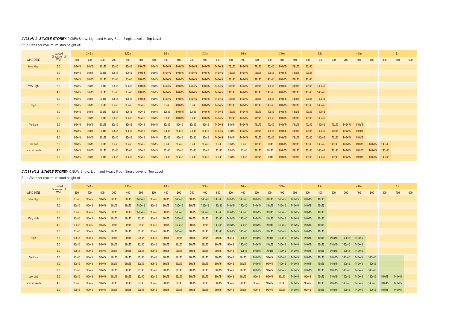## *LVL8 H1.2 SINGLE STOREY.* 0.9kPa Snow, Light and Heavy Roof, Single Level or Top Level

Stud Sizes for maximum stud height of:

## *LVL11 H1.2 SINGLE STOREY.* 0.9kPa Snow, Light and Heavy Roof, Single Level or Top Level

Stud Sizes for maximum stud height of:

|                       | Loaded<br>Dimension of | 2.40 <sub>m</sub> |       | 2.70 <sub>m</sub> |       |       |        | 3.0 <sub>m</sub> |       | 3.3 <sub>m</sub> |       |        | 3.6 <sub>m</sub> |        |        | 3.9 <sub>m</sub> |        |        | 4.2m   |        |        | 4.8 <sub>m</sub> |        |        |        | 5.4    |        |     |
|-----------------------|------------------------|-------------------|-------|-------------------|-------|-------|--------|------------------|-------|------------------|-------|--------|------------------|--------|--------|------------------|--------|--------|--------|--------|--------|------------------|--------|--------|--------|--------|--------|-----|
| <b>WIND ZONE</b>      | Wall                   | 300               | 400   | 600               | 300   | 400   | 600    | 300              | 400   | 600              | 300   | 400    | 600              | 300    | 400    | 600              | 300    | 400    | 600    | 300    | 400    | 600              | 300    | 400    | 600    | 300    | 400    | 600 |
| Extra High            | 2.0                    | 90x45             | 90x45 | 90x45             | 90x45 | 90x45 | 140x45 | 90x45            | 90x45 | 140x45           | 90x45 | 140x45 | 140x45           | 140x45 | 140x45 | 140x45           | 140x45 | 140x45 | 140x45 | 140x45 | 140x45 |                  |        |        |        |        |        |     |
|                       | 4.0                    | 90x45             | 90x45 | 90x45             | 90x45 | 90x45 | 140x45 | 90x45            | 90x45 | 140x45           | 90x45 | 140x45 | 140x45           | 140x45 | 140x45 | 140x45           | 140x45 | 140x45 | 140x45 | 140x45 | 140x45 |                  |        |        |        |        |        |     |
|                       | 6.0                    | 90x45             | 90x45 | 90x45             | 90x45 | 90x45 | 140x45 | 90x45            | 90x45 | 140x45           | 90x45 | 140x45 | 140x45           | 140x45 | 140x45 | 140x45           | 140x45 | 140x45 | 140x45 | 140x45 | 140x45 |                  |        |        |        |        |        |     |
| Very High             | 2.0                    | 90x45             | 90x45 | 90x45             | 90x45 | 90x45 | 90x45  | 90x45            | 90x45 | 140x45           | 90x45 | 90x45  | 140x45           | 140x45 | 140x45 | 140x45           | 140x45 | 140x45 | 140x45 | 140x45 | 140x45 |                  |        |        |        |        |        |     |
|                       | 4.0                    | 90x45             | 90x45 | 90x45             | 90x45 | 90x45 | 90x45  | 90x45            | 90x45 | 140x45           | 90x45 | 90x45  | 140x45           | 140x45 | 140x45 | 140x45           | 140x45 | 140x45 | 140x45 | 140x45 | 140x45 |                  |        |        |        |        |        |     |
|                       | 6.0                    | 90x45             | 90x45 | 90x45             | 90x45 | 90x45 | 90x45  | 90x45            | 90x45 | 140x45           | 90x45 | 90x45  | 140x45           | 140x45 | 140x45 | 140x45           | 140x45 | 140x45 | 140x45 | 140x45 | 140x45 |                  |        |        |        |        |        |     |
| High                  | 2.0                    | 90x45             | 90x45 | 90x45             | 90x45 | 90x45 | 90x45  | 90x45            | 90x45 | 90x45            | 90x45 | 90x45  | 90x45            | 90x45  | 140x45 | 140x45           | 140x45 | 140x45 | 140x45 | 140x45 | 140x45 | 140x45           | 140x45 | 140x45 |        |        |        |     |
|                       | 4.0                    | 90x45             | 90x45 | 90x45             | 90x45 | 90x45 | 90x45  | 90x45            | 90x45 | 90x45            | 90x45 | 90x45  | 90x45            | 90x45  | 140x45 | 140x45           | 140x45 | 140x45 | 140x45 | 140x45 | 140x45 | 140x45           | 140x45 | 140x45 |        |        |        |     |
|                       | 6.0                    | 90x45             | 90x45 | 90x45             | 90x45 | 90x45 | 90x45  | 90x45            | 90x45 | 90x45            | 90x45 | 90x45  | 90x45            | 90x45  | 140x45 | 140x45           | 140x45 | 140x45 | 140x45 | 140x45 | 140x45 | 140x45           | 140x45 | 140x45 |        |        |        |     |
| Medium                | 2.0                    | 90x45             | 90x45 | 90x45             | 90x45 | 90x45 | 90x45  | 90x45            | 90x45 | 90x45            | 90x45 | 90x45  | 90x45            | 90x45  | 90x45  | 140x45           | 90x45  | 140x45 | 140x45 | 140x45 | 140x45 | 140x45           | 140x45 | 140x45 | 140x45 |        |        |     |
|                       | 4.0                    | 90x45             | 90x45 | 90x45             | 90x45 | 90x45 | 90x45  | 90x45            | 90x45 | 90x45            | 90x45 | 90x45  | 90x45            | 90x45  | 90x45  | 140x45           | 90x45  | 140x45 | 140x45 | 140x45 | 140x45 | 140x45           | 140x45 | 140x45 | 140x45 |        |        |     |
|                       | 6.0                    | 90x45             | 90x45 | 90x45             | 90x45 | 90x45 | 90x45  | 90x45            | 90x45 | 90x45            | 90x45 | 90x45  | 90x45            | 90x45  | 90x45  | 140x45           | 90x45  | 140x45 | 140x45 | 140x45 | 140x45 | 140x45           | 140x45 | 140x45 | 140x45 |        |        |     |
| Low and               | 2.0                    | 90x45             | 90x45 | 90x45             | 90x45 | 90x45 | 90x45  | 90x45            | 90x45 | 90x45            | 90x45 | 90x45  | 90x45            | 90x45  | 90x45  | 90x45            | 90x45  | 90x45  | 140x45 | 90x45  | 140x45 | 140x45           | 140x45 | 140x45 | 140x45 | 140x45 | 140x45 |     |
| <b>Internal Walls</b> | 4.0                    | 90x45             | 90x45 | 90x45             | 90x45 | 90x45 | 90x45  | 90x45            | 90x45 | 90x45            | 90x45 | 90x45  | 90x45            | 90x45  | 90x45  | 90x45            | 90x45  | 90x45  | 140x45 | 90x45  | 140x45 | 140x45           | 140x45 | 140x45 | 140x45 | 140x45 | 140x45 |     |
|                       | 6.0                    | 90x45             | 90x45 | 90x45             | 90x45 | 90x45 | 90x45  | 90x45            | 90x45 | 90x45            | 90x45 | 90x45  | 90x45            | 90x45  | 90x45  | 90x45            | 90x45  | 90x45  | 140x45 | 90x45  | 140x45 | 140x45           | 140x45 | 140x45 | 140x45 | 140x45 | 140x45 |     |

|                       | Loaded<br>Dimension of | 2.40m |       | 2.70 <sub>m</sub> |       |       | 3.0 <sub>m</sub> |       |        | 3.3 <sub>m</sub> |        |        | 3.6 <sub>m</sub> |        |        | 3.9 <sub>m</sub> |        |        | 4.2m   |               |        |        | 4.8m   |        | 5.4    |        |     |     |
|-----------------------|------------------------|-------|-------|-------------------|-------|-------|------------------|-------|--------|------------------|--------|--------|------------------|--------|--------|------------------|--------|--------|--------|---------------|--------|--------|--------|--------|--------|--------|-----|-----|
| <b>WIND ZONE</b>      | Wall                   | 300   | 400   | 600               | 300   | 400   | 600              | 300   | 400    | 600              | 300    | 400    | 600              | 300    | 400    | 600              | 300    | 400    | 600    | 300           | 400    | 600    | 300    | 400    | 600    | 300    | 400 | 600 |
| Extra High            | 2.0                    | 90x45 | 90x45 | 90x45             | 90x45 | 90x45 | 140x45           | 90x45 | 140x45 | 140x45           | 140x45 | 140x45 | 140x45           | 140x45 | 140x45 | 140x45           | 140x45 | 140x45 | 140x45 | 140x45        |        |        |        |        |        |        |     |     |
|                       | 4.0                    | 90x45 | 90x45 | 90x45             | 90x45 | 90x45 | 140x45           | 90x45 | 140x45 | 140x45           | 140x45 | 140x45 | 140x45           | 140x45 | 140x45 | 140x45           | 140x45 | 140x45 | 140x45 | 140x45        |        |        |        |        |        |        |     |     |
|                       | 6.0                    | 90x45 | 90x45 | 90x45             | 90x45 | 90x45 | 140x45           | 90x45 | 140x45 | 140x45           | 140x45 | 140x45 | 140x45           | 140x45 | 140x45 | 140x45           | 140x45 | 140x45 | 140x45 | 140x45        |        |        |        |        |        |        |     |     |
| Very High             | 2.0                    | 90x45 | 90x45 | 90x45             | 90x45 | 90x45 | 140x45           | 90x45 | 140x45 | 140x45           | 140x45 | 140x45 | 140x45           | 140x45 | 140x45 | 140x45           | 140x45 | 140x45 | 140x45 | 140x45        | 140x45 |        |        |        |        |        |     |     |
|                       | 4.0                    | 90x45 | 90x45 | 90x45             | 90x45 | 90x45 | 140x45           | 90x45 | 140x45 | 140x45           | 140x45 | 140x45 | 140x45           | 140x45 | 140x45 | 140x45           | 140x45 | 140x45 | 140x45 | 140x45        | 140x45 |        |        |        |        |        |     |     |
|                       | 6.0                    | 90x45 | 90x45 | 90x45             | 90x45 | 90x45 | 140x45           | 90x45 | 140x45 | 140x45           | 140x45 | 140x45 | 140x45           | 140x45 | 140x45 | 140x45           | 140x45 | 140x45 | 140x45 | 140x45        | 140x45 |        |        |        |        |        |     |     |
| High                  | 2.0                    | 90x45 | 90x45 | 90x45             | 90x45 | 90x45 | 90x45            | 90x45 | 90x45  | 140x45           | 90x45  | 140x45 | 140x45           | 140x45 | 140x45 | 140x45           | 140x45 | 140x45 | 140x45 | 140x45 140x45 |        |        |        |        |        |        |     |     |
|                       | 4.0                    | 90x45 | 90x45 | 90x45             | 90x45 | 90x45 | 90x45            | 90x45 | 90x45  | 140x45           | 90x45  | 140x45 | 140x45           | 140x45 | 140x45 | 140x45           | 140x45 | 140x45 | 140x45 | 140x45 140x45 |        |        |        |        |        |        |     |     |
|                       | 6.0                    | 90x45 | 90x45 | 90x45             | 90x45 | 90x45 | 90x45            | 90x45 | 90x45  | 140x45           | 90x45  | 140x45 | 140x45           | 140x45 | 140x45 | 140x45           | 140x45 | 140x45 | 140x45 | 140x45 140x45 |        |        |        |        |        |        |     |     |
| Medium                | 2.0                    | 90x45 | 90x45 | 90x45             | 90x45 | 90x45 | 90x45            | 90x45 | 90x45  | 90x45            | 90x45  | 90x45  | 140x45           | 90x45  | 140x45 | 140x45           | 140x45 | 140x45 | 140x45 | 140x45        | 140x45 | 140x45 | 140x45 | 140x45 |        |        |     |     |
|                       | 4.0                    | 90x45 | 90x45 | 90x45             | 90x45 | 90x45 | 90x45            | 90x45 | 90x45  | 90x45            | 90x45  | 90x45  | 140x45           | 90x45  | 140x45 | 140x45           | 140x45 | 140x45 | 140x45 | 140x45        | 140x45 | 140x45 | 140x45 | 140x45 |        |        |     |     |
|                       | 6.0                    | 90x45 | 90x45 | 90x45             | 90x45 | 90x45 | 90x45            | 90x45 | 90x45  | 90x45            | 90x45  | 90x45  | 140x45           | 90x45  | 140x45 | 140x45           | 140x45 | 140x45 | 140x45 | 140x45        | 140x45 | 140x45 | 140x45 | 140x45 |        |        |     |     |
| Low and               | 2.0                    | 90x45 | 90x45 | 90x45             | 90x45 | 90x45 | 90x45            | 90x45 | 90x45  | 90x45            | 90x45  | 90x45  | 90x45            | 90x45  | 90x45  | 140x45           | 90x45  | 140x45 | 140x45 | 140x45        | 140x45 | 140x45 | 140x45 | 140x45 | 140x45 | 140x45 |     |     |
| <b>Internal Walls</b> | 4.0                    | 90x45 | 90x45 | 90x45             | 90x45 | 90x45 | 90x45            | 90x45 | 90x45  | 90x45            | 90x45  | 90x45  | 90x45            | 90x45  | 90x45  | 140x45           | 90x45  | 140x45 | 140x45 | 140x45        | 140x45 | 140x45 | 140x45 | 140x45 | 140x45 | 140x45 |     |     |
|                       | 6.0                    | 90x45 | 90x45 | 90x45             | 90x45 | 90x45 | 90x45            | 90x45 | 90x45  | 90x45            | 90x45  | 90x45  | 90x45            | 90x45  | 90x45  | 140x45           | 90x45  | 140x45 | 140x45 | 140x45        | 140x45 | 140x45 | 140x45 | 140x45 | 140x45 | 140x45 |     |     |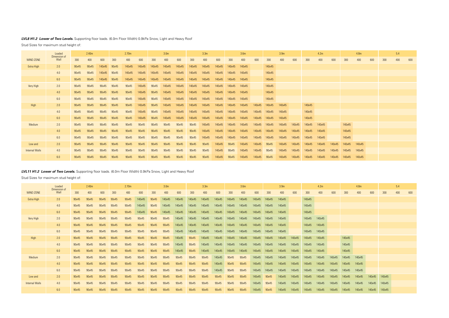## *LVL11 H1.2 Lower of Two Levels.* Supporting floor loads. (6.0m Floor Width) 0.9kPa Snow, Light and Heavy Roof

Stud Sizes for maximum stud height of:

|                       | Loaded<br>Dimension of | 2.40 <sub>m</sub> |       | 2.70 <sub>m</sub> |       |       | 3.0 <sub>m</sub> |       |        | 3.3 <sub>m</sub> |        |        | 3.6 <sub>m</sub> |        |        | 3.9 <sub>m</sub> |        |        | 4.2m   |        |        | 4.8 <sub>m</sub> |        |        | 5.4    |        |     |     |
|-----------------------|------------------------|-------------------|-------|-------------------|-------|-------|------------------|-------|--------|------------------|--------|--------|------------------|--------|--------|------------------|--------|--------|--------|--------|--------|------------------|--------|--------|--------|--------|-----|-----|
| <b>WIND ZONE</b>      | Wall                   | 300               | 400   | 600               | 300   | 400   | 600              | 300   | 400    | 600              | 300    | 400    | 600              | 300    | 400    | 600              | 300    | 400    | 600    | 300    | 400    | 600              | 300    | 400    | 600    | 300    | 400 | 600 |
| Extra High            | 2.0                    | 90x45             | 90x45 | 90x45             | 90x45 | 90x45 | 140x45           | 90x45 | 140x45 | 140x45           | 140x45 | 140x45 | 140x45           | 140x45 | 140x45 | 140x45           | 140x45 | 140x45 |        | 140x45 |        |                  |        |        |        |        |     |     |
|                       | 4.0                    | 90x45             | 90x45 | 90x45             | 90x45 | 90x45 | 140x45           | 90x45 | 140x45 | 140x45           | 140x45 | 140x45 | 140x45           | 140x45 | 140x45 | 140x45           | 140x45 | 140x45 |        | 140x45 |        |                  |        |        |        |        |     |     |
|                       | 6.0                    | 90x45             | 90x45 | 90x45             | 90x45 | 90x45 | 140x45           | 90x45 | 140x45 | 140x45           | 140x45 | 140x45 | 140x45           | 140x45 | 140x45 | 140x45           | 140x45 | 140x45 |        | 140x45 |        |                  |        |        |        |        |     |     |
| Very High             | 2.0                    | 90x45             | 90x45 | 90x45             | 90x45 | 90x45 | 90x45            | 90x45 | 90x45  | 140x45           | 140x45 | 140x45 | 140x45           | 140x45 | 140x45 | 140x45           | 140x45 | 140x45 |        | 140x45 | 140x45 |                  |        |        |        |        |     |     |
|                       | 4.0                    | 90x45             | 90x45 | 90x45             | 90x45 | 90x45 | 90x45            | 90x45 | 90x45  | 140x45           | 140x45 | 140x45 | 140x45           | 140x45 | 140x45 | 140x45           | 140x45 | 140x45 |        | 140x45 | 140x45 |                  |        |        |        |        |     |     |
|                       | 6.0                    | 90x45             | 90x45 | 90x45             | 90x45 | 90x45 | 90x45            | 90x45 | 90x45  | 140x45           | 140x45 | 140x45 | 140x45           | 140x45 | 140x45 | 140x45           | 140x45 | 140x45 |        | 140x45 | 140x45 |                  |        |        |        |        |     |     |
| High                  | 2.0                    | 90x45             | 90x45 | 90x45             | 90x45 | 90x45 | 90x45            | 90x45 | 90x45  | 140x45           | 90x45  | 140x45 | 140x45           | 140x45 | 140x45 | 140x45           | 140x45 | 140x45 | 140x45 | 140x45 | 140x45 |                  | 140x45 |        |        |        |     |     |
|                       | 4.0                    | 90x45             | 90x45 | 90x45             | 90x45 | 90x45 | 90x45            | 90x45 | 90x45  | 140x45           | 90x45  | 140x45 | 140x45           | 140x45 | 140x45 | 140x45           | 140x45 | 140x45 | 140x45 | 140x45 | 140x45 |                  | 140x45 |        |        |        |     |     |
|                       | 6.0                    | 90x45             | 90x45 | 90x45             | 90x45 | 90x45 | 90x45            | 90x45 | 90x45  | 140x45           | 90x45  | 140x45 | 140x45           | 140x45 | 140x45 | 140x45           | 140x45 | 140x45 | 140x45 | 140x45 | 140x45 |                  | 140x45 |        |        |        |     |     |
| Medium                | 2.0                    | 90x45             | 90x45 | 90x45             | 90x45 | 90x45 | 90x45            | 90x45 | 90x45  | 90x45            | 90x45  | 90x45  | 140x45           | 90x45  | 90x45  | 140x45           | 140x45 | 140x45 | 140x45 | 140x45 | 140x45 | 140x45           | 140x45 | 140x45 |        |        |     |     |
|                       | 4.0                    | 90x45             | 90x45 | 90x45             | 90x45 | 90x45 | 90x45            | 90x45 | 90x45  | 90x45            | 90x45  | 90x45  | 140x45           | 90x45  | 90x45  | 140x45           | 140x45 | 140x45 | 140x45 | 140x45 | 140x45 | 140x45           | 140x45 | 140x45 |        |        |     |     |
|                       | 6.0                    | 90x45             | 90x45 | 90x45             | 90x45 | 90x45 | 90x45            | 90x45 | 90x45  | 90x45            | 90x45  | 90x45  | 140x45           | 90x45  | 90x45  | 140x45           | 140x45 | 140x45 | 140x45 | 140x45 | 140x45 | 140x45           | 140x45 | 140x45 |        |        |     |     |
| Low and               | 2.0                    | 90x45             | 90x45 | 90x45             | 90x45 | 90x45 | 90x45            | 90x45 | 90x45  | 90x45            | 90x45  | 90x45  | 90x45            | 90x45  | 90x45  | 140x45           | 90x45  | 140x45 | 140x45 | 140x45 | 140x45 | 140x45           | 140x45 | 140x45 | 140x45 | 140x45 |     |     |
| <b>Internal Walls</b> | 4.0                    | 90x45             | 90x45 | 90x45             | 90x45 | 90x45 | 90x45            | 90x45 | 90x45  | 90x45            | 90x45  | 90x45  | 90x45            | 90x45  | 90x45  | 140x45           | 90x45  | 140x45 | 140x45 | 140x45 | 140x45 | 140x45           | 140x45 | 140x45 | 140x45 | 140x45 |     |     |
|                       | 6.0                    | 90x45             | 90x45 | 90x45             | 90x45 | 90x45 | 90x45            | 90x45 | 90x45  | 90x45            | 90x45  | 90x45  | 90x45            | 90x45  | 90x45  | 140x45           | 90x45  | 140x45 | 140x45 | 140x45 | 140x45 | 140x45           | 140x45 | 140x45 | 140x45 | 140x45 |     |     |

## *LVL8 H1.2 Lower of Two Levels.* Supporting floor loads. (6.0m Floor Width) 0.9kPa Snow, Light and Heavy Roof

Stud Sizes for maximum stud height of:

|                       | Loaded<br>Dimension of | 2.40 <sub>m</sub> |       | 2.70 <sub>m</sub> |       | 3.0 <sub>m</sub> |        |        | 3.3 <sub>m</sub> |        |        | 3.6 <sub>m</sub> |        |        | 3.9 <sub>m</sub> |        |        | 4.2m   |        |        |        | 4.8 <sub>m</sub> |        | 5.4    |     |     |     |     |
|-----------------------|------------------------|-------------------|-------|-------------------|-------|------------------|--------|--------|------------------|--------|--------|------------------|--------|--------|------------------|--------|--------|--------|--------|--------|--------|------------------|--------|--------|-----|-----|-----|-----|
| <b>WIND ZONE</b>      | Wall                   | 300               | 400   | 600               | 300   | 400              | 600    | 300    | 400              | 600    | 300    | 400              | 600    | 300    | 400              | 600    | 300    | 400    | 600    | 300    | 400    | 600              | 300    | 400    | 600 | 300 | 400 | 600 |
| Extra High            | 2.0                    | 90x45             | 90x45 | 140x45            | 90x45 | 140x45           | 140x45 | 140x45 | 140x45           | 140x45 | 140x45 | 140x45           | 140x45 | 140x45 | 140x45           |        | 140x45 |        |        |        |        |                  |        |        |     |     |     |     |
|                       | 4.0                    | 90x45             | 90x45 | 140x45            | 90x45 | 140x45           | 140x45 | 140x45 | 140x45           | 140x45 | 140x45 | 140x45           | 140x45 | 140x45 | 140x45           |        | 140x45 |        |        |        |        |                  |        |        |     |     |     |     |
|                       | 6.0                    | 90x45             | 90x45 | 140x45            | 90x45 | 140x45           | 140x45 | 140x45 | 140x45           | 140x45 | 140x45 | 140x45           | 140x45 | 140x45 | 140x45           |        | 140x45 |        |        |        |        |                  |        |        |     |     |     |     |
| Very High             | 2.0                    | 90x45             | 90x45 | 90x45             | 90x45 | 90x45            | 140x45 | 90x45  | 140x45           | 140x45 | 140x45 | 140x45           | 140x45 | 140x45 | 140x45           |        | 140x45 |        |        |        |        |                  |        |        |     |     |     |     |
|                       | 4.0                    | 90x45             | 90x45 | 90x45             | 90x45 | 90x45            | 140x45 | 90x45  | 140x45           | 140x45 | 140x45 | 140x45           | 140x45 | 140x45 | 140x45           |        | 140x45 |        |        |        |        |                  |        |        |     |     |     |     |
|                       | 6.0                    | 90x45             | 90x45 | 90x45             | 90x45 | 90x45            | 140x45 | 90x45  | 140x45           | 140x45 | 140x45 | 140x45           | 140x45 | 140x45 | 140x45           |        | 140x45 |        |        |        |        |                  |        |        |     |     |     |     |
| High                  | 2.0                    | 90x45             | 90x45 | 90x45             | 90x45 | 90x45            | 140x45 | 90x45  | 140x45           | 140x45 | 140x45 | 140x45           | 140x45 | 140x45 | 140x45           | 140x45 | 140x45 | 140x45 |        | 140x45 |        |                  |        |        |     |     |     |     |
|                       | 4.0                    | 90x45             | 90x45 | 90x45             | 90x45 | 90x45            | 140x45 | 90x45  | 140x45           | 140x45 | 140x45 | 140x45           | 140x45 | 140x45 | 140x45           | 140x45 | 140x45 | 140x45 |        | 140x45 |        |                  |        |        |     |     |     |     |
|                       | 6.0                    | 90x45             | 90x45 | 90x45             | 90x45 | 90x45            | 140x45 | 90x45  | 140x45           | 140x45 | 140x45 | 140x45           | 140x45 | 140x45 | 140x45           | 140x45 | 140x45 | 140x45 |        | 140x45 |        |                  |        |        |     |     |     |     |
| Medium                | 2.0                    | 90x45             | 90x45 | 90x45             | 90x45 | 90x45            | 90x45  | 90x45  | 90x45            | 90x45  | 90x45  | 140x45           | 140x45 | 140x45 | 140x45           | 140x45 | 140x45 | 140x45 | 140x45 | 140x45 | 140x45 |                  | 140x45 |        |     |     |     |     |
|                       | 4.0                    | 90x45             | 90x45 | 90x45             | 90x45 | 90x45            | 90x45  | 90x45  | 90x45            | 90x45  | 90x45  | 140x45           | 140x45 | 140x45 | 140x45           | 140x45 | 140x45 | 140x45 | 140x45 | 140x45 | 140x45 |                  | 140x45 |        |     |     |     |     |
|                       | 6.0                    | 90x45             | 90x45 | 90x45             | 90x45 | 90x45            | 90x45  | 90x45  | 90x45            | 90x45  | 90x45  | 140x45           | 140x45 | 140x45 | 140x45           | 140x45 | 140x45 | 140x45 | 140x45 | 140x45 | 140x45 |                  | 140x45 |        |     |     |     |     |
| Low and               | 2.0                    | 90x45             | 90x45 | 90x45             | 90x45 | 90x45            | 90x45  | 90x45  | 90x45            | 90x45  | 90x45  | 90x45            | 140x45 | 90x45  | 140x45           | 140x45 | 90x45  | 140x45 | 140x45 | 140x45 | 140x45 | 140x45           | 140x45 | 140x45 |     |     |     |     |
| <b>Internal Walls</b> | 4.0                    | 90x45             | 90x45 | 90x45             | 90x45 | 90x45            | 90x45  | 90x45  | 90x45            | 90x45  | 90x45  | 90x45            | 140x45 | 90x45  | 140x45           | 140x45 | 90x45  | 140x45 | 140x45 | 140x45 | 140x45 | 140x45           | 140x45 | 140x45 |     |     |     |     |
|                       | 6.0                    | 90x45             | 90x45 | 90x45             | 90x45 | 90x45            | 90x45  | 90x45  | 90x45            | 90x45  | 90x45  | 90x45            | 140x45 | 90x45  | 140x45           | 140x45 | 90x45  | 140x45 | 140x45 | 140x45 | 140x45 | 140x45           | 140x45 | 140x45 |     |     |     |     |